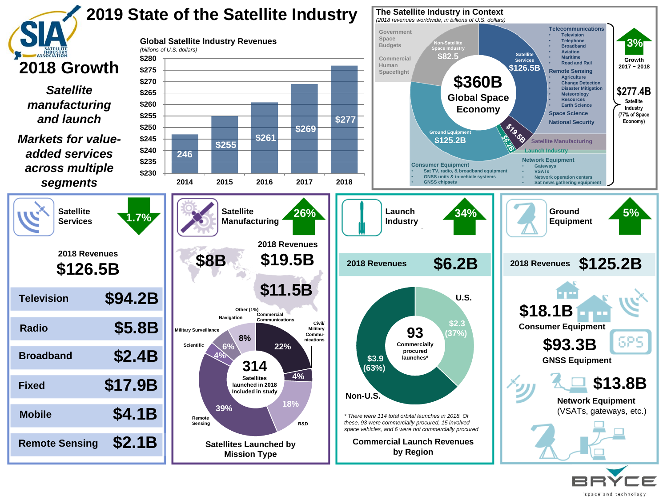

space and technology